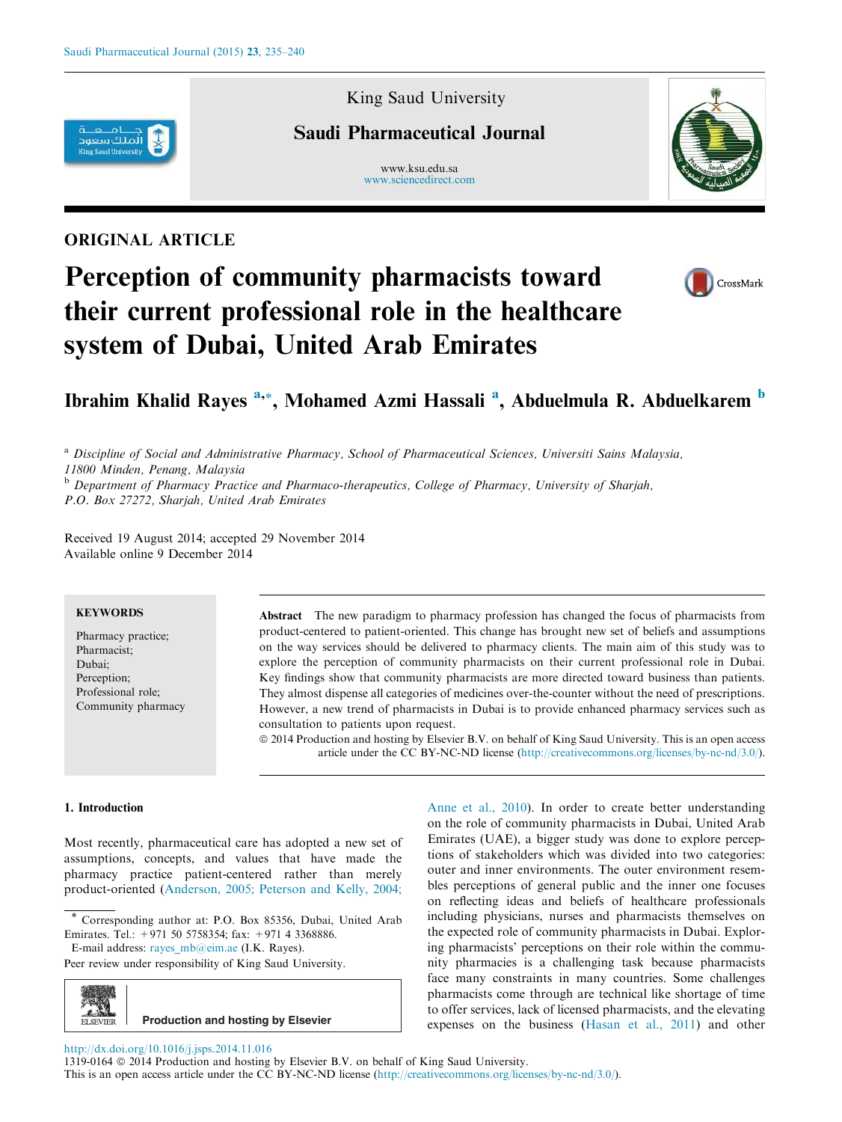

# ORIGINAL ARTICLE

King Saud University

# Saudi Pharmaceutical Journal

www.ksu.edu.sa www.sciencedirect.com







# Ibrahim Khalid Rayes <sup>a,</sup>\*, Mohamed Azmi Hassali <sup>a</sup>, Abduelmula R. Abduelkarem <sup>b</sup>

<sup>a</sup> Discipline of Social and Administrative Pharmacy, School of Pharmaceutical Sciences, Universiti Sains Malaysia, 11800 Minden, Penang, Malaysia <sup>b</sup> Department of Pharmacy Practice and Pharmaco-therapeutics, College of Pharmacy, University of Sharjah, P.O. Box 27272, Sharjah, United Arab Emirates

Received 19 August 2014; accepted 29 November 2014 Available online 9 December 2014

# **KEYWORDS**

Pharmacy practice; Pharmacist; Dubai; Perception; Professional role; Community pharmacy

Abstract The new paradigm to pharmacy profession has changed the focus of pharmacists from product-centered to patient-oriented. This change has brought new set of beliefs and assumptions on the way services should be delivered to pharmacy clients. The main aim of this study was to explore the perception of community pharmacists on their current professional role in Dubai. Key findings show that community pharmacists are more directed toward business than patients. They almost dispense all categories of medicines over-the-counter without the need of prescriptions. However, a new trend of pharmacists in Dubai is to provide enhanced pharmacy services such as consultation to patients upon request.

ª 2014 Production and hosting by Elsevier B.V. on behalf of King Saud University. This is an open access article under the CC BY-NC-ND license (http://creativecommons.org/licenses/by-nc-nd/3.0/).

## 1. Introduction

Most recently, pharmaceutical care has adopted a new set of assumptions, concepts, and values that have made the pharmacy practice patient-centered rather than merely product-oriented (Anderson, 2005; Peterson and Kelly, 2004;

E-mail address: rayes\_mb@eim.ae (I.K. Rayes).

Peer review under responsibility of King Saud University.



Anne et al., 2010). In order to create better understanding on the role of community pharmacists in Dubai, United Arab Emirates (UAE), a bigger study was done to explore perceptions of stakeholders which was divided into two categories: outer and inner environments. The outer environment resembles perceptions of general public and the inner one focuses on reflecting ideas and beliefs of healthcare professionals including physicians, nurses and pharmacists themselves on the expected role of community pharmacists in Dubai. Exploring pharmacists' perceptions on their role within the community pharmacies is a challenging task because pharmacists face many constraints in many countries. Some challenges pharmacists come through are technical like shortage of time to offer services, lack of licensed pharmacists, and the elevating expenses on the business (Hasan et al., 2011) and other

http://dx.doi.org/10.1016/j.jsps.2014.11.016

1319-0164  $\circledcirc$  2014 Production and hosting by Elsevier B.V. on behalf of King Saud University.

This is an open access article under the CC BY-NC-ND license (http://creativecommons.org/licenses/by-nc-nd/3.0/).

Corresponding author at: P.O. Box 85356, Dubai, United Arab Emirates. Tel.: +971 50 5758354; fax: +971 4 3368886.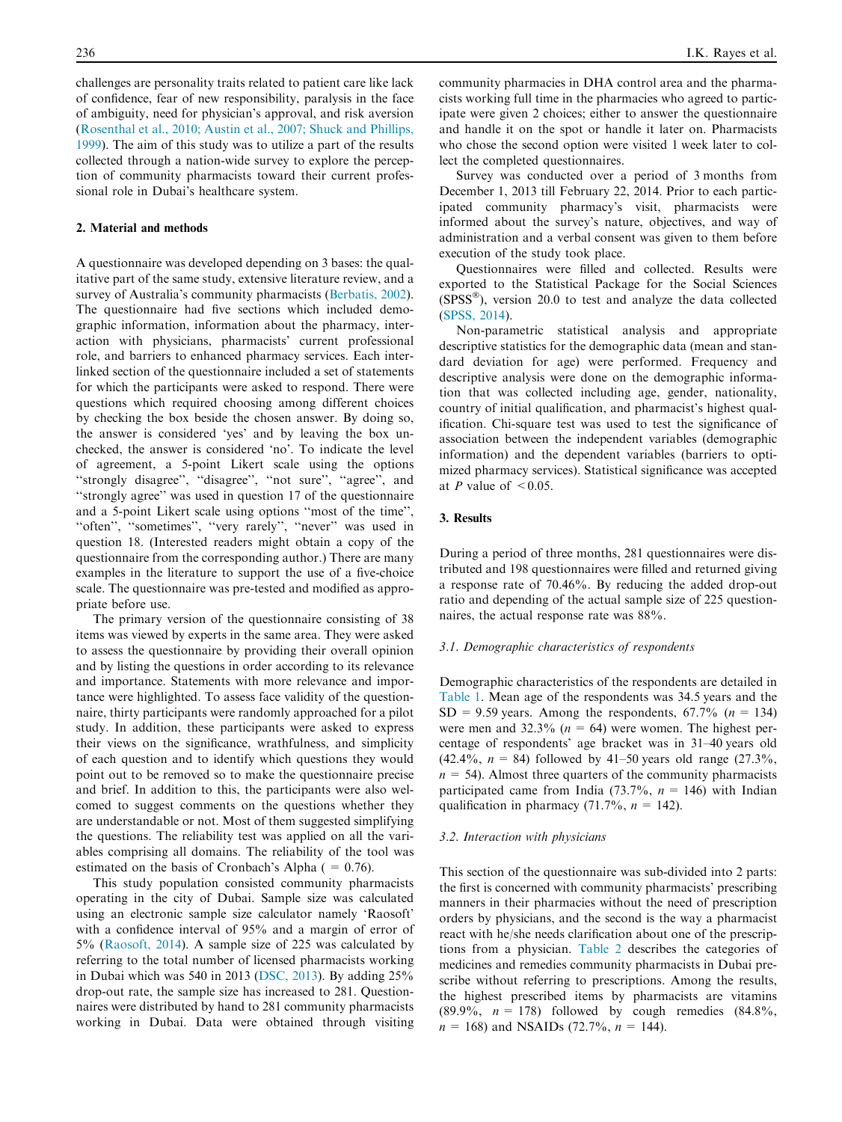challenges are personality traits related to patient care like lack of confidence, fear of new responsibility, paralysis in the face of ambiguity, need for physician's approval, and risk aversion (Rosenthal et al., 2010; Austin et al., 2007; Shuck and Phillips, 1999). The aim of this study was to utilize a part of the results collected through a nation-wide survey to explore the perception of community pharmacists toward their current professional role in Dubai's healthcare system.

# 2. Material and methods

A questionnaire was developed depending on 3 bases: the qualitative part of the same study, extensive literature review, and a survey of Australia's community pharmacists (Berbatis, 2002). The questionnaire had five sections which included demographic information, information about the pharmacy, interaction with physicians, pharmacists' current professional role, and barriers to enhanced pharmacy services. Each interlinked section of the questionnaire included a set of statements for which the participants were asked to respond. There were questions which required choosing among different choices by checking the box beside the chosen answer. By doing so, the answer is considered 'yes' and by leaving the box unchecked, the answer is considered 'no'. To indicate the level of agreement, a 5-point Likert scale using the options "strongly disagree", "disagree", "not sure", "agree", and ''strongly agree'' was used in question 17 of the questionnaire and a 5-point Likert scale using options ''most of the time'', "often", "sometimes", "very rarely", "never" was used in question 18. (Interested readers might obtain a copy of the questionnaire from the corresponding author.) There are many examples in the literature to support the use of a five-choice scale. The questionnaire was pre-tested and modified as appropriate before use.

The primary version of the questionnaire consisting of 38 items was viewed by experts in the same area. They were asked to assess the questionnaire by providing their overall opinion and by listing the questions in order according to its relevance and importance. Statements with more relevance and importance were highlighted. To assess face validity of the questionnaire, thirty participants were randomly approached for a pilot study. In addition, these participants were asked to express their views on the significance, wrathfulness, and simplicity of each question and to identify which questions they would point out to be removed so to make the questionnaire precise and brief. In addition to this, the participants were also welcomed to suggest comments on the questions whether they are understandable or not. Most of them suggested simplifying the questions. The reliability test was applied on all the variables comprising all domains. The reliability of the tool was estimated on the basis of Cronbach's Alpha ( $= 0.76$ ).

This study population consisted community pharmacists operating in the city of Dubai. Sample size was calculated using an electronic sample size calculator namely 'Raosoft' with a confidence interval of 95% and a margin of error of 5% (Raosoft, 2014). A sample size of 225 was calculated by referring to the total number of licensed pharmacists working in Dubai which was 540 in 2013 (DSC, 2013). By adding 25% drop-out rate, the sample size has increased to 281. Questionnaires were distributed by hand to 281 community pharmacists working in Dubai. Data were obtained through visiting community pharmacies in DHA control area and the pharmacists working full time in the pharmacies who agreed to participate were given 2 choices; either to answer the questionnaire and handle it on the spot or handle it later on. Pharmacists who chose the second option were visited 1 week later to collect the completed questionnaires.

Survey was conducted over a period of 3 months from December 1, 2013 till February 22, 2014. Prior to each participated community pharmacy's visit, pharmacists were informed about the survey's nature, objectives, and way of administration and a verbal consent was given to them before execution of the study took place.

Questionnaires were filled and collected. Results were exported to the Statistical Package for the Social Sciences  $(SPSS^{\circledast})$ , version 20.0 to test and analyze the data collected (SPSS, 2014).

Non-parametric statistical analysis and appropriate descriptive statistics for the demographic data (mean and standard deviation for age) were performed. Frequency and descriptive analysis were done on the demographic information that was collected including age, gender, nationality, country of initial qualification, and pharmacist's highest qualification. Chi-square test was used to test the significance of association between the independent variables (demographic information) and the dependent variables (barriers to optimized pharmacy services). Statistical significance was accepted at P value of  $\leq 0.05$ .

# 3. Results

During a period of three months, 281 questionnaires were distributed and 198 questionnaires were filled and returned giving a response rate of 70.46%. By reducing the added drop-out ratio and depending of the actual sample size of 225 questionnaires, the actual response rate was 88%.

#### 3.1. Demographic characteristics of respondents

Demographic characteristics of the respondents are detailed in Table 1. Mean age of the respondents was 34.5 years and the  $SD = 9.59$  years. Among the respondents, 67.7% ( $n = 134$ ) were men and 32.3% ( $n = 64$ ) were women. The highest percentage of respondents' age bracket was in 31–40 years old  $(42.4\%, n = 84)$  followed by 41–50 years old range  $(27.3\%,$  $n = 54$ ). Almost three quarters of the community pharmacists participated came from India  $(73.7\%), n = 146$ ) with Indian qualification in pharmacy (71.7%,  $n = 142$ ).

## 3.2. Interaction with physicians

This section of the questionnaire was sub-divided into 2 parts: the first is concerned with community pharmacists' prescribing manners in their pharmacies without the need of prescription orders by physicians, and the second is the way a pharmacist react with he/she needs clarification about one of the prescriptions from a physician. Table 2 describes the categories of medicines and remedies community pharmacists in Dubai prescribe without referring to prescriptions. Among the results, the highest prescribed items by pharmacists are vitamins (89.9%,  $n = 178$ ) followed by cough remedies (84.8%,  $n = 168$ ) and NSAIDs (72.7%,  $n = 144$ ).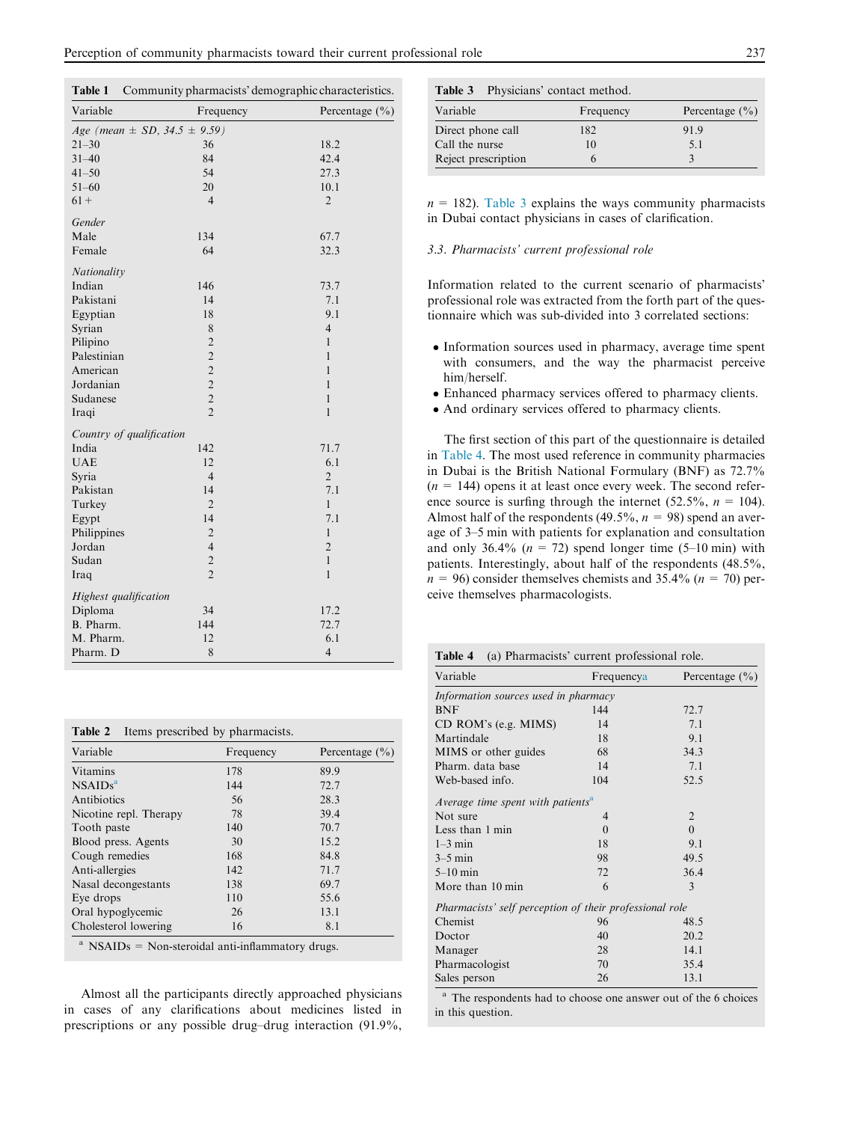| Community pharmacists' demographic characteristics.<br>Table 1 |                                      |                    |  |  |  |  |  |
|----------------------------------------------------------------|--------------------------------------|--------------------|--|--|--|--|--|
| Variable                                                       | Frequency                            | Percentage $(\% )$ |  |  |  |  |  |
|                                                                | Age (mean $\pm$ SD, 34.5 $\pm$ 9.59) |                    |  |  |  |  |  |
| $21 - 30$                                                      | 36                                   | 18.2               |  |  |  |  |  |
| $31 - 40$                                                      | 84                                   | 42.4               |  |  |  |  |  |
| $41 - 50$                                                      | 54                                   | 27.3               |  |  |  |  |  |
| $51 - 60$                                                      | 20                                   | 10.1               |  |  |  |  |  |
| $61 +$                                                         | $\overline{4}$                       | 2                  |  |  |  |  |  |
| Gender                                                         |                                      |                    |  |  |  |  |  |
| Male                                                           | 134                                  | 67.7               |  |  |  |  |  |
| Female                                                         | 64                                   | 32.3               |  |  |  |  |  |
| Nationality                                                    |                                      |                    |  |  |  |  |  |
| Indian                                                         | 146                                  | 73.7               |  |  |  |  |  |
| Pakistani                                                      | 14                                   | 71                 |  |  |  |  |  |

| Pakistani                | 14             | 7.1            |
|--------------------------|----------------|----------------|
| Egyptian                 | 18             | 9.1            |
| Syrian                   | 8              | $\overline{4}$ |
| Pilipino                 | $\overline{c}$ | 1              |
| Palestinian              | $\overline{c}$ | $\mathbf{1}$   |
| American                 | $\overline{c}$ | $\mathbf{1}$   |
| Jordanian                | $\overline{c}$ | $\mathbf{1}$   |
| Sudanese                 | $\overline{c}$ | $\mathbf{1}$   |
| Iraqi                    | $\overline{2}$ | $\mathbf{1}$   |
| Country of qualification |                |                |
| India                    | 142            | 71.7           |
| <b>UAE</b>               | 12             | 6.1            |
| Syria                    | $\overline{4}$ | $\overline{2}$ |
| Pakistan                 | 14             | 7.1            |
| Turkey                   | $\overline{2}$ | 1              |
| Egypt                    | 14             | 7.1            |
| Philippines              | $\mathfrak{2}$ | 1              |
| Jordan                   | $\overline{4}$ | $\sqrt{2}$     |
| Sudan                    | $\overline{c}$ | $\mathbf{1}$   |
| Iraq                     | $\overline{2}$ | $\mathbf{1}$   |
| Highest qualification    |                |                |
| Diploma                  | 34             | 17.2           |
| B. Pharm.                | 144            | 72.7           |
| M. Pharm.                | 12             | 6.1            |
| Pharm. D                 | 8              | $\overline{4}$ |

| Table 2 |  |  |  | Items prescribed by pharmacists. |
|---------|--|--|--|----------------------------------|
|---------|--|--|--|----------------------------------|

| Frequency | Percentage $(\% )$                                     |
|-----------|--------------------------------------------------------|
| 178       | 89.9                                                   |
| 144       | 72.7                                                   |
| 56        | 28.3                                                   |
| 78        | 39.4                                                   |
| 140       | 70.7                                                   |
| 30        | 15.2                                                   |
| 168       | 84.8                                                   |
| 142       | 71.7                                                   |
| 138       | 69.7                                                   |
| 110       | 55.6                                                   |
| 26        | 13.1                                                   |
| 16        | 8.1                                                    |
|           | $\cdots$<br><b>Contract Contract Contract Contract</b> |

 $NSAIDs = Non-steroidal anti-inflammatory drugs.$ 

Almost all the participants directly approached physicians in cases of any clarifications about medicines listed in prescriptions or any possible drug–drug interaction (91.9%,

| Table 3 | Physicians' contact method. |  |  |
|---------|-----------------------------|--|--|
|---------|-----------------------------|--|--|

| Variable            | Frequency | Percentage $(\% )$ |  |
|---------------------|-----------|--------------------|--|
| Direct phone call   | 182       | 91.9               |  |
| Call the nurse      | 10        | 5.1                |  |
| Reject prescription |           |                    |  |

 $n = 182$ ). Table 3 explains the ways community pharmacists in Dubai contact physicians in cases of clarification.

# 3.3. Pharmacists' current professional role

Information related to the current scenario of pharmacists' professional role was extracted from the forth part of the questionnaire which was sub-divided into 3 correlated sections:

- Information sources used in pharmacy, average time spent with consumers, and the way the pharmacist perceive him/herself.
- Enhanced pharmacy services offered to pharmacy clients.
- $\bullet$  And ordinary services offered to pharmacy clients.

The first section of this part of the questionnaire is detailed in Table 4. The most used reference in community pharmacies in Dubai is the British National Formulary (BNF) as 72.7%  $(n = 144)$  opens it at least once every week. The second reference source is surfing through the internet (52.5%,  $n = 104$ ). Almost half of the respondents (49.5%,  $n = 98$ ) spend an average of 3–5 min with patients for explanation and consultation and only 36.4% ( $n = 72$ ) spend longer time (5–10 min) with patients. Interestingly, about half of the respondents (48.5%,  $n = 96$ ) consider themselves chemists and 35.4% ( $n = 70$ ) perceive themselves pharmacologists.

Table 4 (a) Pharmacists' current professional role.

| Variable                                                | Frequencya | Percentage $(\% )$ |  |  |  |  |  |  |
|---------------------------------------------------------|------------|--------------------|--|--|--|--|--|--|
| Information sources used in pharmacy                    |            |                    |  |  |  |  |  |  |
| <b>BNF</b>                                              | 144        | 72.7               |  |  |  |  |  |  |
| CD ROM's (e.g. MIMS)                                    | 14         | 7.1                |  |  |  |  |  |  |
| Martindale                                              | 18         | 9.1                |  |  |  |  |  |  |
| MIMS or other guides                                    | 68         | 34.3               |  |  |  |  |  |  |
| Pharm. data base                                        | 14         | 7.1                |  |  |  |  |  |  |
| Web-based info.                                         | 104        | 52.5               |  |  |  |  |  |  |
| Average time spent with patients <sup>a</sup>           |            |                    |  |  |  |  |  |  |
| Not sure                                                | 4          | $\overline{2}$     |  |  |  |  |  |  |
| Less than 1 min                                         | $\theta$   | $\theta$           |  |  |  |  |  |  |
| $1-3$ min                                               | 18         | 9.1                |  |  |  |  |  |  |
| $3-5$ min                                               | 98         | 49.5               |  |  |  |  |  |  |
| $5-10$ min                                              | 72         | 36.4               |  |  |  |  |  |  |
| More than 10 min                                        | 6          | 3                  |  |  |  |  |  |  |
| Pharmacists' self perception of their professional role |            |                    |  |  |  |  |  |  |
| Chemist                                                 | 96         | 48.5               |  |  |  |  |  |  |
| Doctor                                                  | 40         | 20.2               |  |  |  |  |  |  |
| Manager                                                 | 28         | 14.1               |  |  |  |  |  |  |
| Pharmacologist                                          | 70         | 35.4               |  |  |  |  |  |  |
| Sales person                                            | 26         | 13.1               |  |  |  |  |  |  |

<sup>a</sup> The respondents had to choose one answer out of the 6 choices in this question.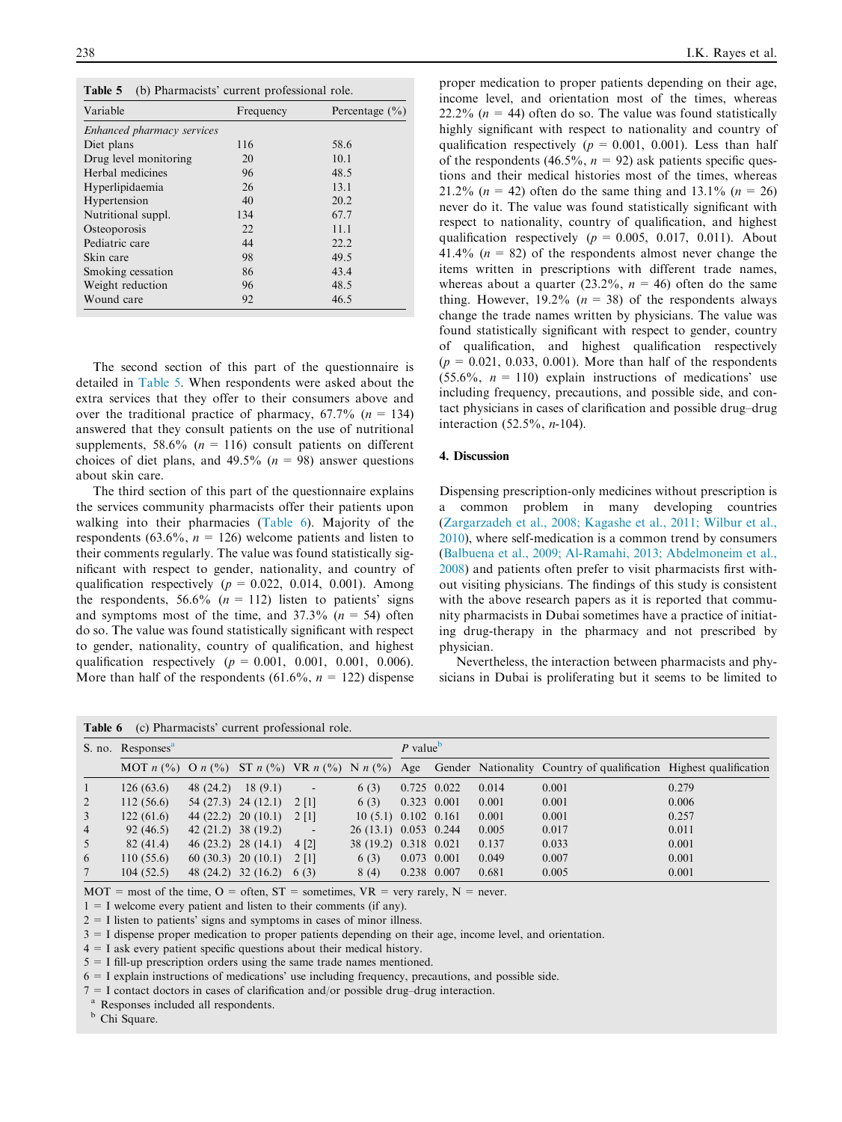Table 5 (b) Pharmacists' current professional role.

| Variable                   | Frequency | Percentage $(\% )$ |  |
|----------------------------|-----------|--------------------|--|
| Enhanced pharmacy services |           |                    |  |
| Diet plans                 | 116       | 58.6               |  |
| Drug level monitoring      | 20        | 10.1               |  |
| Herbal medicines           | 96        | 48.5               |  |
| Hyperlipidaemia            | 26        | 13.1               |  |
| Hypertension               | 40        | 20.2               |  |
| Nutritional suppl.         | 134       | 67.7               |  |
| Osteoporosis               | 22        | 11.1               |  |
| Pediatric care             | 44        | 22.2               |  |
| Skin care                  | 98        | 49.5               |  |
| Smoking cessation          | 86        | 43.4               |  |
| Weight reduction           | 96        | 48.5               |  |
| Wound care                 | 92        | 46.5               |  |

The second section of this part of the questionnaire is detailed in Table 5. When respondents were asked about the extra services that they offer to their consumers above and over the traditional practice of pharmacy,  $67.7\%$  ( $n = 134$ ) answered that they consult patients on the use of nutritional supplements,  $58.6\%$  ( $n = 116$ ) consult patients on different choices of diet plans, and 49.5% ( $n = 98$ ) answer questions about skin care.

The third section of this part of the questionnaire explains the services community pharmacists offer their patients upon walking into their pharmacies (Table 6). Majority of the respondents (63.6%,  $n = 126$ ) welcome patients and listen to their comments regularly. The value was found statistically significant with respect to gender, nationality, and country of qualification respectively ( $p = 0.022$ , 0.014, 0.001). Among the respondents,  $56.6\%$  ( $n = 112$ ) listen to patients' signs and symptoms most of the time, and  $37.3\%$  ( $n = 54$ ) often do so. The value was found statistically significant with respect to gender, nationality, country of qualification, and highest qualification respectively  $(p = 0.001, 0.001, 0.001, 0.006)$ . More than half of the respondents (61.6%,  $n = 122$ ) dispense

proper medication to proper patients depending on their age, income level, and orientation most of the times, whereas 22.2% ( $n = 44$ ) often do so. The value was found statistically highly significant with respect to nationality and country of qualification respectively ( $p = 0.001$ , 0.001). Less than half of the respondents (46.5%,  $n = 92$ ) ask patients specific questions and their medical histories most of the times, whereas 21.2% ( $n = 42$ ) often do the same thing and 13.1% ( $n = 26$ ) never do it. The value was found statistically significant with respect to nationality, country of qualification, and highest qualification respectively ( $p = 0.005$ , 0.017, 0.011). About 41.4% ( $n = 82$ ) of the respondents almost never change the items written in prescriptions with different trade names, whereas about a quarter (23.2%,  $n = 46$ ) often do the same thing. However, 19.2% ( $n = 38$ ) of the respondents always change the trade names written by physicians. The value was found statistically significant with respect to gender, country of qualification, and highest qualification respectively  $(p = 0.021, 0.033, 0.001)$ . More than half of the respondents  $(55.6\%), n = 110$  explain instructions of medications' use including frequency, precautions, and possible side, and contact physicians in cases of clarification and possible drug–drug interaction (52.5%, n-104).

#### 4. Discussion

Dispensing prescription-only medicines without prescription is a common problem in many developing countries (Zargarzadeh et al., 2008; Kagashe et al., 2011; Wilbur et al., 2010), where self-medication is a common trend by consumers (Balbuena et al., 2009; Al-Ramahi, 2013; Abdelmoneim et al., 2008) and patients often prefer to visit pharmacists first without visiting physicians. The findings of this study is consistent with the above research papers as it is reported that community pharmacists in Dubai sometimes have a practice of initiating drug-therapy in the pharmacy and not prescribed by physician.

Nevertheless, the interaction between pharmacists and physicians in Dubai is proliferating but it seems to be limited to

Table 6 (c) Pharmacists' current professional role.

|                | S. no. Responses <sup>a</sup> |  |                            |                 | $P$ value <sup>b</sup> |  |               |       |                                                                                                                                  |       |
|----------------|-------------------------------|--|----------------------------|-----------------|------------------------|--|---------------|-------|----------------------------------------------------------------------------------------------------------------------------------|-------|
|                |                               |  |                            |                 |                        |  |               |       | MOT $n (\%)$ O $n (\%)$ ST $n (\%)$ VR $n (\%)$ N $n (\%)$ Age Gender Nationality Country of qualification Highest qualification |       |
|                | 126(63.6)                     |  | $48(24.2)$ 18 (9.1)        | $\sim$          | 6(3)                   |  | $0.725$ 0.022 | 0.014 | 0.001                                                                                                                            | 0.279 |
| 2              | 112(56.6)                     |  | $54(27.3)$ 24 (12.1) 2 [1] |                 | 6(3)                   |  | 0.323 0.001   | 0.001 | 0.001                                                                                                                            | 0.006 |
| 3              | 122(61.6)                     |  | 44 (22.2) 20 (10.1) 2 [1]  |                 | $10(5.1)$ 0.102 0.161  |  |               | 0.001 | 0.001                                                                                                                            | 0.257 |
| $\overline{4}$ | 92(46.5)                      |  | $42(21.2)$ 38 (19.2)       | <b>Contract</b> | 26 (13.1) 0.053 0.244  |  |               | 0.005 | 0.017                                                                                                                            | 0.011 |
| 5 <sup>5</sup> | 82(41.4)                      |  | 46 (23.2) 28 (14.1) 4 [2]  |                 | 38 (19.2) 0.318 0.021  |  |               | 0.137 | 0.033                                                                                                                            | 0.001 |
| 6              | 110(55.6)                     |  | $60(30.3)$ 20 $(10.1)$     | $2 \, 11$       | 6(3)                   |  | $0.073$ 0.001 | 0.049 | 0.007                                                                                                                            | 0.001 |
| 7              | 104(52.5)                     |  | 48 (24.2) 32 (16.2)        | 6 (3)           | 8(4)                   |  | 0.238 0.007   | 0.681 | 0.005                                                                                                                            | 0.001 |

 $MOT =$  most of the time,  $O =$  often,  $ST =$  sometimes,  $VR =$  very rarely,  $N =$  never.

 $1 = I$  welcome every patient and listen to their comments (if any).

 $2 = I$  listen to patients' signs and symptoms in cases of minor illness.

3 = I dispense proper medication to proper patients depending on their age, income level, and orientation.

 $4 = I$  ask every patient specific questions about their medical history.

 $5 = I$  fill-up prescription orders using the same trade names mentioned.

 $6 = I$  explain instructions of medications' use including frequency, precautions, and possible side.

 $7 = I$  contact doctors in cases of clarification and/or possible drug-drug interaction.

<sup>a</sup> Responses included all respondents.

<sup>b</sup> Chi Square.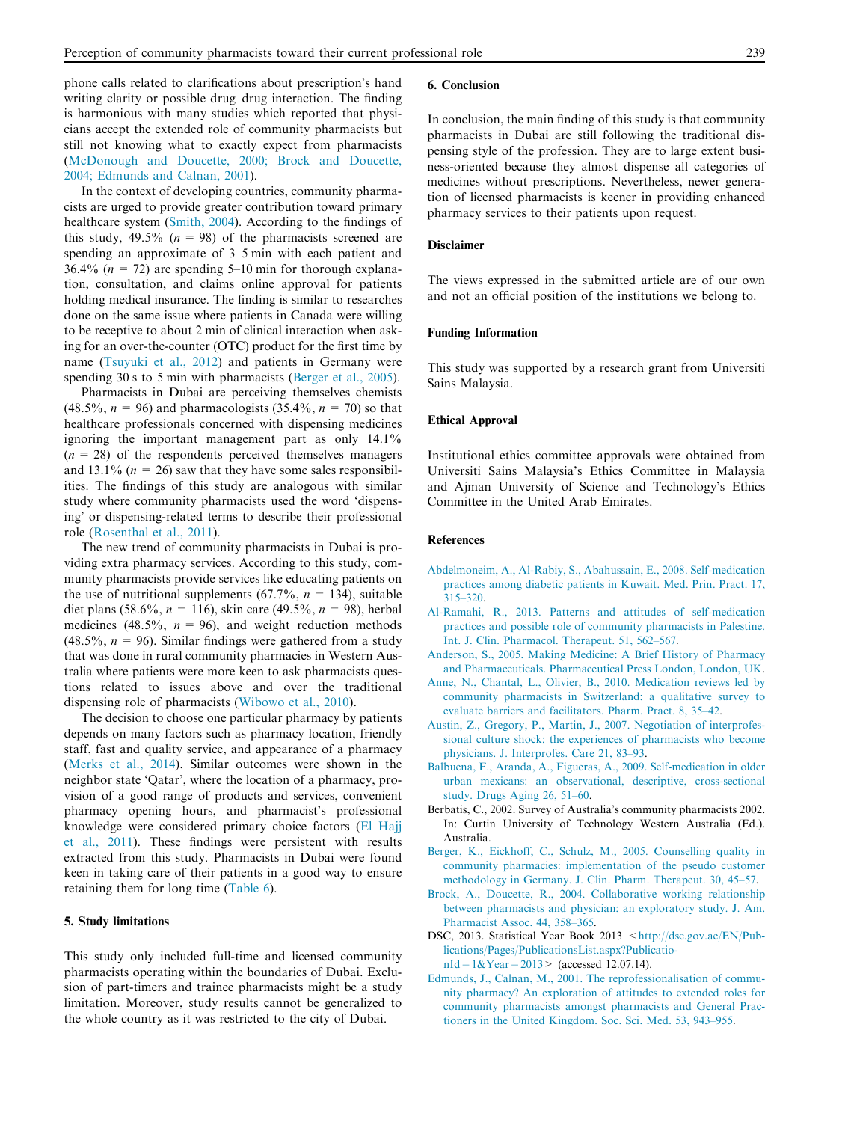phone calls related to clarifications about prescription's hand writing clarity or possible drug–drug interaction. The finding is harmonious with many studies which reported that physicians accept the extended role of community pharmacists but still not knowing what to exactly expect from pharmacists (McDonough and Doucette, 2000; Brock and Doucette, 2004; Edmunds and Calnan, 2001).

In the context of developing countries, community pharmacists are urged to provide greater contribution toward primary healthcare system (Smith, 2004). According to the findings of this study, 49.5% ( $n = 98$ ) of the pharmacists screened are spending an approximate of 3–5 min with each patient and 36.4% ( $n = 72$ ) are spending 5–10 min for thorough explanation, consultation, and claims online approval for patients holding medical insurance. The finding is similar to researches done on the same issue where patients in Canada were willing to be receptive to about 2 min of clinical interaction when asking for an over-the-counter (OTC) product for the first time by name (Tsuyuki et al., 2012) and patients in Germany were spending 30 s to 5 min with pharmacists (Berger et al., 2005).

Pharmacists in Dubai are perceiving themselves chemists  $(48.5\%, n = 96)$  and pharmacologists  $(35.4\%, n = 70)$  so that healthcare professionals concerned with dispensing medicines ignoring the important management part as only 14.1%  $(n = 28)$  of the respondents perceived themselves managers and 13.1% ( $n = 26$ ) saw that they have some sales responsibilities. The findings of this study are analogous with similar study where community pharmacists used the word 'dispensing' or dispensing-related terms to describe their professional role (Rosenthal et al., 2011).

The new trend of community pharmacists in Dubai is providing extra pharmacy services. According to this study, community pharmacists provide services like educating patients on the use of nutritional supplements (67.7%,  $n = 134$ ), suitable diet plans (58.6%,  $n = 116$ ), skin care (49.5%,  $n = 98$ ), herbal medicines (48.5%,  $n = 96$ ), and weight reduction methods (48.5%,  $n = 96$ ). Similar findings were gathered from a study that was done in rural community pharmacies in Western Australia where patients were more keen to ask pharmacists questions related to issues above and over the traditional dispensing role of pharmacists (Wibowo et al., 2010).

The decision to choose one particular pharmacy by patients depends on many factors such as pharmacy location, friendly staff, fast and quality service, and appearance of a pharmacy (Merks et al., 2014). Similar outcomes were shown in the neighbor state 'Qatar', where the location of a pharmacy, provision of a good range of products and services, convenient pharmacy opening hours, and pharmacist's professional knowledge were considered primary choice factors (El Hajj et al., 2011). These findings were persistent with results extracted from this study. Pharmacists in Dubai were found keen in taking care of their patients in a good way to ensure retaining them for long time (Table 6).

# 5. Study limitations

This study only included full-time and licensed community pharmacists operating within the boundaries of Dubai. Exclusion of part-timers and trainee pharmacists might be a study limitation. Moreover, study results cannot be generalized to the whole country as it was restricted to the city of Dubai.

## 6. Conclusion

In conclusion, the main finding of this study is that community pharmacists in Dubai are still following the traditional dispensing style of the profession. They are to large extent business-oriented because they almost dispense all categories of medicines without prescriptions. Nevertheless, newer generation of licensed pharmacists is keener in providing enhanced pharmacy services to their patients upon request.

#### Disclaimer

The views expressed in the submitted article are of our own and not an official position of the institutions we belong to.

# Funding Information

This study was supported by a research grant from Universiti Sains Malaysia.

## Ethical Approval

Institutional ethics committee approvals were obtained from Universiti Sains Malaysia's Ethics Committee in Malaysia and Ajman University of Science and Technology's Ethics Committee in the United Arab Emirates.

## References

- Abdelmoneim, A., Al-Rabiy, S., Abahussain, E., 2008. Self-medication practices among diabetic patients in Kuwait. Med. Prin. Pract. 17, 315–320.
- Al-Ramahi, R., 2013. Patterns and attitudes of self-medication practices and possible role of community pharmacists in Palestine. Int. J. Clin. Pharmacol. Therapeut. 51, 562–567.
- Anderson, S., 2005. Making Medicine: A Brief History of Pharmacy and Pharmaceuticals. Pharmaceutical Press London, London, UK.
- Anne, N., Chantal, L., Olivier, B., 2010. Medication reviews led by community pharmacists in Switzerland: a qualitative survey to evaluate barriers and facilitators. Pharm. Pract. 8, 35–42.
- Austin, Z., Gregory, P., Martin, J., 2007. Negotiation of interprofessional culture shock: the experiences of pharmacists who become physicians. J. Interprofes. Care 21, 83–93.
- Balbuena, F., Aranda, A., Figueras, A., 2009. Self-medication in older urban mexicans: an observational, descriptive, cross-sectional study. Drugs Aging 26, 51–60.
- Berbatis, C., 2002. Survey of Australia's community pharmacists 2002. In: Curtin University of Technology Western Australia (Ed.). Australia.
- Berger, K., Eickhoff, C., Schulz, M., 2005. Counselling quality in community pharmacies: implementation of the pseudo customer methodology in Germany. J. Clin. Pharm. Therapeut. 30, 45–57.
- Brock, A., Doucette, R., 2004. Collaborative working relationship between pharmacists and physician: an exploratory study. J. Am. Pharmacist Assoc. 44, 358–365.
- DSC, 2013. Statistical Year Book 2013 <http://dsc.gov.ae/EN/Publications/Pages/PublicationsList.aspx?Publicatio $nId = 1 & \text{Year} = 2013 > \text{(accessed } 12.07.14).$
- Edmunds, J., Calnan, M., 2001. The reprofessionalisation of community pharmacy? An exploration of attitudes to extended roles for community pharmacists amongst pharmacists and General Practioners in the United Kingdom. Soc. Sci. Med. 53, 943–955.